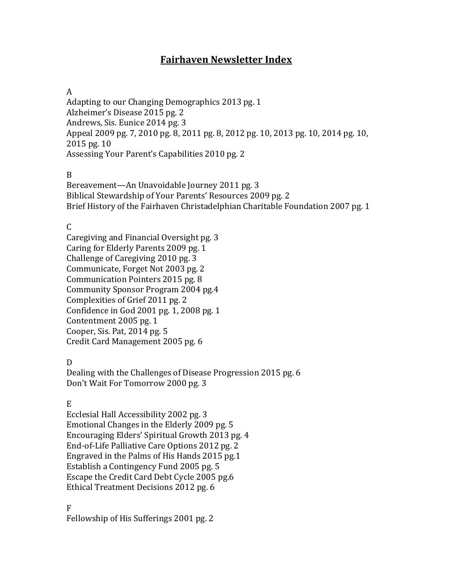# **Fairhaven Newsletter Index**

#### A

Adapting to our Changing Demographics 2013 pg. 1 Alzheimer's Disease 2015 pg. 2 Andrews, Sis. Eunice 2014 pg. 3 Appeal 2009 pg. 7, 2010 pg. 8, 2011 pg. 8, 2012 pg. 10, 2013 pg. 10, 2014 pg. 10, 2015 pg. 10 Assessing Your Parent's Capabilities 2010 pg. 2

#### B

Bereavement—An Unavoidable Journey 2011 pg. 3 Biblical Stewardship of Your Parents' Resources 2009 pg. 2 Brief History of the Fairhaven Christadelphian Charitable Foundation 2007 pg. 1

## C

Caregiving and Financial Oversight pg. 3 Caring for Elderly Parents 2009 pg. 1 Challenge of Caregiving 2010 pg. 3 Communicate, Forget Not 2003 pg. 2 Communication Pointers 2015 pg. 8 Community Sponsor Program 2004 pg.4 Complexities of Grief 2011 pg. 2 Confidence in God 2001 pg. 1, 2008 pg. 1 Contentment 2005 pg. 1 Cooper, Sis. Pat, 2014 pg. 5 Credit Card Management 2005 pg. 6

## D

Dealing with the Challenges of Disease Progression 2015 pg. 6 Don't Wait For Tomorrow 2000 pg. 3

## E

Ecclesial Hall Accessibility 2002 pg. 3 Emotional Changes in the Elderly 2009 pg. 5 Encouraging Elders' Spiritual Growth 2013 pg. 4 End-of-Life Palliative Care Options 2012 pg. 2 Engraved in the Palms of His Hands 2015 pg.1 Establish a Contingency Fund 2005 pg. 5 Escape the Credit Card Debt Cycle 2005 pg.6 Ethical Treatment Decisions 2012 pg. 6

F Fellowship of His Sufferings 2001 pg. 2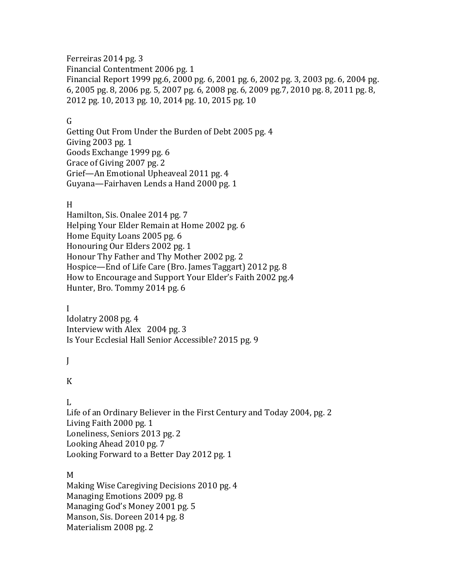Ferreiras 2014 pg. 3 Financial Contentment 2006 pg. 1 Financial Report 1999 pg.6, 2000 pg. 6, 2001 pg. 6, 2002 pg. 3, 2003 pg. 6, 2004 pg. 6, 2005 pg. 8, 2006 pg. 5, 2007 pg. 6, 2008 pg. 6, 2009 pg.7, 2010 pg. 8, 2011 pg. 8, 2012 pg. 10, 2013 pg. 10, 2014 pg. 10, 2015 pg. 10

#### G

Getting Out From Under the Burden of Debt 2005 pg. 4 Giving 2003 pg. 1 Goods Exchange 1999 pg. 6 Grace of Giving 2007 pg. 2 Grief—An Emotional Upheaveal 2011 pg. 4 Guyana—Fairhaven Lends a Hand 2000 pg. 1

#### H

Hamilton, Sis. Onalee 2014 pg. 7 Helping Your Elder Remain at Home 2002 pg. 6 Home Equity Loans 2005 pg. 6 Honouring Our Elders 2002 pg. 1 Honour Thy Father and Thy Mother 2002 pg. 2 Hospice—End of Life Care (Bro. James Taggart) 2012 pg. 8 How to Encourage and Support Your Elder's Faith 2002 pg.4 Hunter, Bro. Tommy 2014 pg. 6

#### I

Idolatry 2008 pg. 4 Interview with Alex 2004 pg. 3 Is Your Ecclesial Hall Senior Accessible? 2015 pg. 9

 $\mathbf{I}$ 

## K

## L

Life of an Ordinary Believer in the First Century and Today 2004, pg. 2 Living Faith 2000 pg. 1 Loneliness, Seniors 2013 pg. 2 Looking Ahead 2010 pg. 7 Looking Forward to a Better Day 2012 pg. 1

#### M

Making Wise Caregiving Decisions 2010 pg. 4 Managing Emotions 2009 pg. 8 Managing God's Money 2001 pg. 5 Manson, Sis. Doreen 2014 pg. 8 Materialism 2008 pg. 2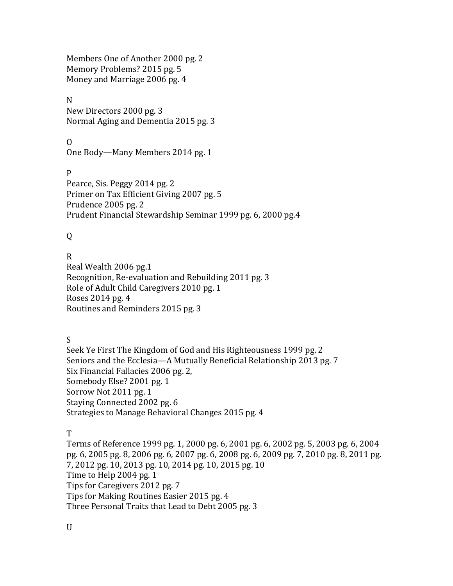Members One of Another 2000 pg. 2 Memory Problems? 2015 pg. 5 Money and Marriage 2006 pg. 4

#### N

New Directors 2000 pg. 3 Normal Aging and Dementia 2015 pg. 3

## O

One Body—Many Members 2014 pg. 1

P Pearce, Sis. Peggy 2014 pg. 2 Primer on Tax Efficient Giving 2007 pg. 5 Prudence 2005 pg. 2 Prudent Financial Stewardship Seminar 1999 pg. 6, 2000 pg.4

# Q

## R

Real Wealth 2006 pg.1 Recognition, Re-evaluation and Rebuilding 2011 pg. 3 Role of Adult Child Caregivers 2010 pg. 1 Roses 2014 pg. 4 Routines and Reminders 2015 pg. 3

## S

Seek Ye First The Kingdom of God and His Righteousness 1999 pg. 2 Seniors and the Ecclesia—A Mutually Beneficial Relationship 2013 pg. 7 Six Financial Fallacies 2006 pg. 2, Somebody Else? 2001 pg. 1 Sorrow Not 2011 pg. 1 Staying Connected 2002 pg. 6 Strategies to Manage Behavioral Changes 2015 pg. 4

## T

Terms of Reference 1999 pg. 1, 2000 pg. 6, 2001 pg. 6, 2002 pg. 5, 2003 pg. 6, 2004 pg. 6, 2005 pg. 8, 2006 pg. 6, 2007 pg. 6, 2008 pg. 6, 2009 pg. 7, 2010 pg. 8, 2011 pg. 7, 2012 pg. 10, 2013 pg. 10, 2014 pg. 10, 2015 pg. 10 Time to Help 2004 pg. 1 Tips for Caregivers 2012 pg. 7 Tips for Making Routines Easier 2015 pg. 4 Three Personal Traits that Lead to Debt 2005 pg. 3